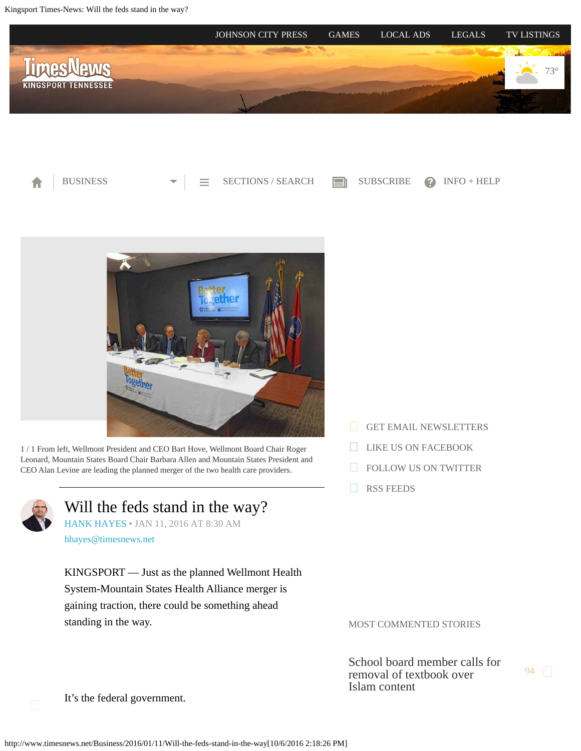<span id="page-0-0"></span>Kingsport Times-News: Will the feds stand in the way?







1 / 1 From left, Wellmont President and CEO Bart Hove, Wellmont Board Chair Roger Leonard, Mountain States Board Chair Barbara Allen and Mountain States President and CEO Alan Levine are leading the planned merger of the two health care providers.



Will the feds stand in the way?

[HANK HAYES](http://www.timesnews.net/authors?user=hank%20hayes) • JAN 11, 2016 AT 8:30 AM

[hhayes@timesnews.net](mailto:hhayes@timesnews.net)

KINGSPORT — Just as the planned Wellmont Health System-Mountain States Health Alliance merger is gaining traction, there could be something ahead standing in the way.

- [GET EMAIL NEWSLETTERS](https://2.dat-e-baseonline.com/front/deb.asp?Action=Reg&zx=357)
- [LIKE US ON FACEBOOK](https://www.facebook.com/timesnews)
- **[FOLLOW US ON TWITTER](https://twitter.com/TimesNewsOnline)**
- [RSS FEEDS](http://www.timesnews.net/feed)

MOST COMMENTED STORIES

[School board member calls for](http://www.timesnews.net/Education/2016/10/04/Ireson-calls-for-removal-of-Pearson-seventh-grade-history-text-from-Sullivan-schools?ci=mostcommented&lp=1) [removal of textbook over](http://www.timesnews.net/Education/2016/10/04/Ireson-calls-for-removal-of-Pearson-seventh-grade-history-text-from-Sullivan-schools?ci=mostcommented&lp=1) [Islam content](http://www.timesnews.net/Education/2016/10/04/Ireson-calls-for-removal-of-Pearson-seventh-grade-history-text-from-Sullivan-schools?ci=mostcommented&lp=1)

[94](http://www.timesnews.net/Education/2016/10/04/Ireson-calls-for-removal-of-Pearson-seventh-grade-history-text-from-Sullivan-schools?ci=mostcommented&lp=1#comments)

It's the federal government.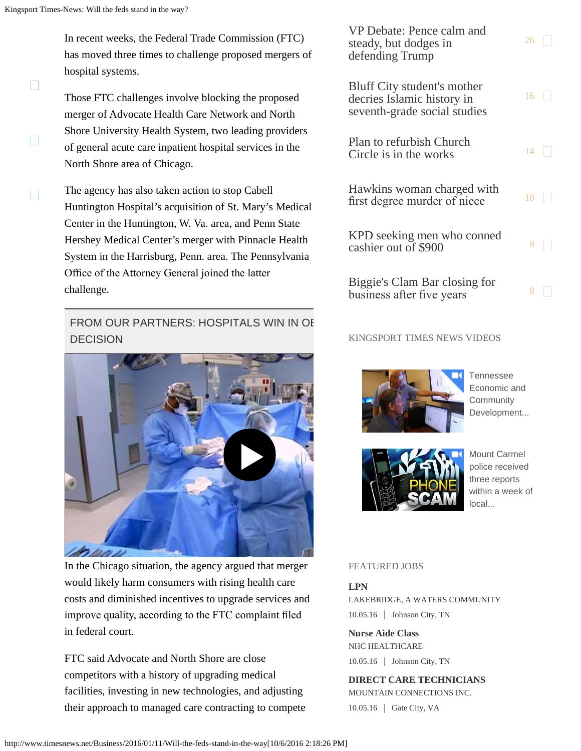$\Box$ 

 $\Box$ 

In recent weeks, the Federal Trade Commission (FTC) has moved three times to challenge proposed mergers of hospital systems.

Those FTC challenges involve blocking the proposed merger of Advocate Health Care Network and North Shore University Health System, two leading providers of general acute care inpatient hospital services in the North Shore area of Chicago.

 $\Box$ The agency has also taken action to stop Cabell Huntington Hospital's acquisition of St. Mary's Medical Center in the Huntington, W. Va. area, and Penn State Hershey Medical Center's merger with Pinnacle Health System in the Harrisburg, Penn. area. The Pennsylvania Office of the Attorney General joined the latter challenge.

# FROM OUR PARTNERS: HOSPITALS WIN IN OF DECISION



In the Chicago situation, the agency argued that merger would likely harm consumers with rising health care costs and diminished incentives to upgrade services and improve quality, according to the FTC complaint fled in federal court.

FTC said Advocate and North Shore are close competitors with a history of upgrading medical facilities, investing in new technologies, and adjusting their approach to managed care contracting to compete

[VP Debate: Pence calm and](http://www.timesnews.net/News/2016/10/05/Pence-calm-and-steady-but-dodges-in-defending-Trump?ci=mostcommented&lp=2) [steady, but dodges in](http://www.timesnews.net/News/2016/10/05/Pence-calm-and-steady-but-dodges-in-defending-Trump?ci=mostcommented&lp=2) [defending Trump](http://www.timesnews.net/News/2016/10/05/Pence-calm-and-steady-but-dodges-in-defending-Trump?ci=mostcommented&lp=2)  $26$ [Bluff City student's mother](http://www.timesnews.net/Education/2016/09/27/Bluff-City-student-s-mother-decries-Islamic-history-in-seventh-grade-social-studies?ci=mostcommented&lp=3) [decries Islamic history in](http://www.timesnews.net/Education/2016/09/27/Bluff-City-student-s-mother-decries-Islamic-history-in-seventh-grade-social-studies?ci=mostcommented&lp=3) [seventh-grade social studies](http://www.timesnews.net/Education/2016/09/27/Bluff-City-student-s-mother-decries-Islamic-history-in-seventh-grade-social-studies?ci=mostcommented&lp=3)  $16$ [Plan to refurbish Church](http://www.timesnews.net/Community/2016/10/03/Plan-in-the-works-to-refurbish-Church-Circle?ci=mostcommented&lp=4) [Circle is in the works](http://www.timesnews.net/Community/2016/10/03/Plan-in-the-works-to-refurbish-Church-Circle?ci=mostcommented&lp=4)  $^{14}$  $^{14}$  $^{14}$ [Hawkins woman charged with](http://www.timesnews.net/Local/2016/10/03/Hawkins-woman-charged-with-first-degree-murder-of-niece?ci=mostcommented&lp=5) first degree murder of niece  $10$ [KPD seeking men who conned](http://www.timesnews.net/Law-Enforcement/2016/09/30/KPD-seeking-men-who-conned-cashier-out-of-900?ci=mostcommented&lp=6)  $\frac{1}{2}$  [cashier out of \\$900](http://www.timesnews.net/Law-Enforcement/2016/09/30/KPD-seeking-men-who-conned-cashier-out-of-900?ci=mostcommented&lp=6) [9](http://www.timesnews.net/Law-Enforcement/2016/09/30/KPD-seeking-men-who-conned-cashier-out-of-900?ci=mostcommented&lp=6#comments) [Biggie's Clam Bar closing for](http://www.timesnews.net/News/2016/10/01/Biggie-s-Clam-Bar-closing-for-business-after-five-years?ci=mostcommented&lp=7) business after five years  $8 \Box$  $8 \Box$ 

### KINGSPORT TIMES NEWS VIDEOS



[Tennessee](http://videos.timesnews.net/timesnews/6vwz3g?v=autoplay_postroll&e=e0018&opn=right_rail_embed) [Economic and](http://videos.timesnews.net/timesnews/6vwz3g?v=autoplay_postroll&e=e0018&opn=right_rail_embed) **[Community](http://videos.timesnews.net/timesnews/6vwz3g?v=autoplay_postroll&e=e0018&opn=right_rail_embed)** [Development...](http://videos.timesnews.net/timesnews/6vwz3g?v=autoplay_postroll&e=e0018&opn=right_rail_embed)



[Mount Carmel](http://videos.timesnews.net/timesnews/xma4wa?v=autoplay_postroll&e=e0018&opn=right_rail_embed) [police received](http://videos.timesnews.net/timesnews/xma4wa?v=autoplay_postroll&e=e0018&opn=right_rail_embed) [three reports](http://videos.timesnews.net/timesnews/xma4wa?v=autoplay_postroll&e=e0018&opn=right_rail_embed) [within a week of](http://videos.timesnews.net/timesnews/xma4wa?v=autoplay_postroll&e=e0018&opn=right_rail_embed) [local...](http://videos.timesnews.net/timesnews/xma4wa?v=autoplay_postroll&e=e0018&opn=right_rail_embed)

#### FEATURED JOBS

## **LPN**

LAKEBRIDGE, A WATERS COMMUNITY 10.05.16 Johnson City, TN

**Nurse Aide Class** NHC HEALTHCARE 10.05.16 | Johnson City, TN

**DIRECT CARE TECHNICIANS** MOUNTAIN CONNECTIONS INC. 10.05.16 Gate City, VA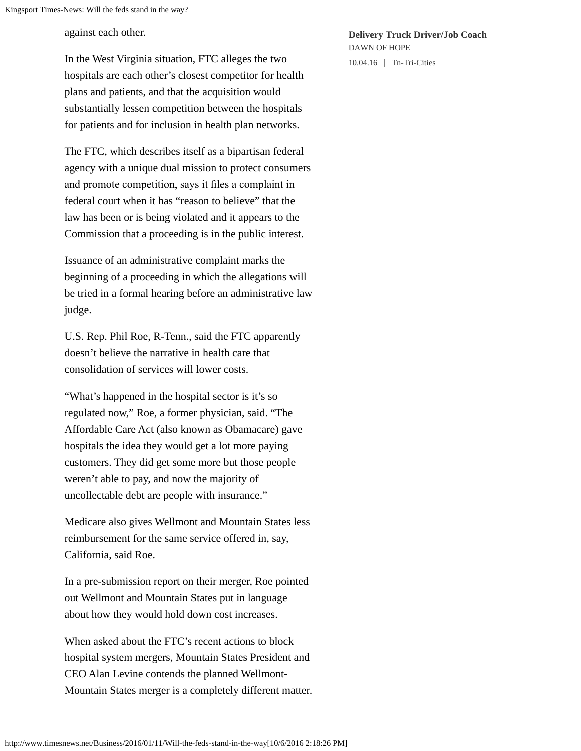against each other.

In the West Virginia situation, FTC alleges the two hospitals are each other's closest competitor for health plans and patients, and that the acquisition would substantially lessen competition between the hospitals for patients and for inclusion in health plan networks.

The FTC, which describes itself as a bipartisan federal agency with a unique dual mission to protect consumers and promote competition, says it fles a complaint in federal court when it has "reason to believe" that the law has been or is being violated and it appears to the Commission that a proceeding is in the public interest.

Issuance of an administrative complaint marks the beginning of a proceeding in which the allegations will be tried in a formal hearing before an administrative law judge.

U.S. Rep. Phil Roe, R-Tenn., said the FTC apparently doesn't believe the narrative in health care that consolidation of services will lower costs.

"What's happened in the hospital sector is it's so regulated now," Roe, a former physician, said. "The Affordable Care Act (also known as Obamacare) gave hospitals the idea they would get a lot more paying customers. They did get some more but those people weren't able to pay, and now the majority of uncollectable debt are people with insurance."

Medicare also gives Wellmont and Mountain States less reimbursement for the same service offered in, say, California, said Roe.

In a pre-submission report on their merger, Roe pointed out Wellmont and Mountain States put in language about how they would hold down cost increases.

When asked about the FTC's recent actions to block hospital system mergers, Mountain States President and CEO Alan Levine contends the planned Wellmont-Mountain States merger is a completely different matter. **Delivery Truck Driver/Job Coach** DAWN OF HOPE

10.04.16 Tn-Tri-Cities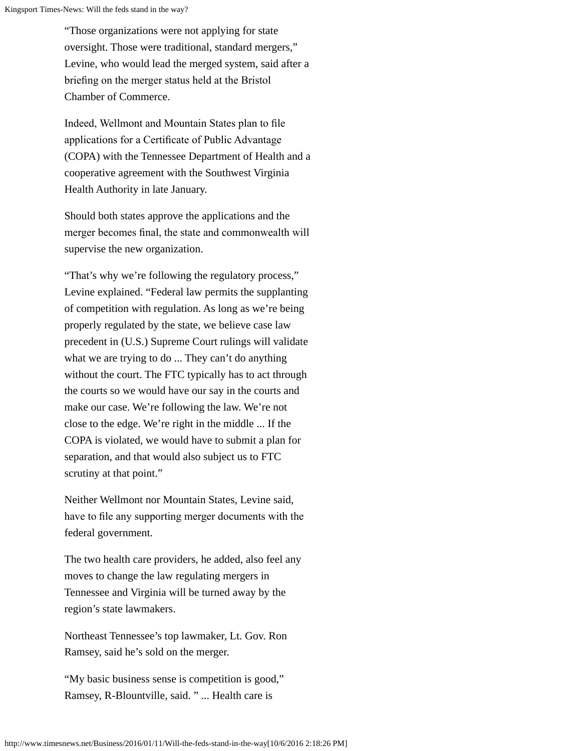"Those organizations were not applying for state oversight. Those were traditional, standard mergers," Levine, who would lead the merged system, said after a briefng on the merger status held at the Bristol Chamber of Commerce.

Indeed, Wellmont and Mountain States plan to fle applications for a Certifcate of Public Advantage (COPA) with the Tennessee Department of Health and a cooperative agreement with the Southwest Virginia Health Authority in late January.

Should both states approve the applications and the merger becomes fnal, the state and commonwealth will supervise the new organization.

"That's why we're following the regulatory process," Levine explained. "Federal law permits the supplanting of competition with regulation. As long as we're being properly regulated by the state, we believe case law precedent in (U.S.) Supreme Court rulings will validate what we are trying to do ... They can't do anything without the court. The FTC typically has to act through the courts so we would have our say in the courts and make our case. We're following the law. We're not close to the edge. We're right in the middle ... If the COPA is violated, we would have to submit a plan for separation, and that would also subject us to FTC scrutiny at that point."

Neither Wellmont nor Mountain States, Levine said, have to fle any supporting merger documents with the federal government.

The two health care providers, he added, also feel any moves to change the law regulating mergers in Tennessee and Virginia will be turned away by the region's state lawmakers.

Northeast Tennessee's top lawmaker, Lt. Gov. Ron Ramsey, said he's sold on the merger.

"My basic business sense is competition is good," Ramsey, R-Blountville, said. " ... Health care is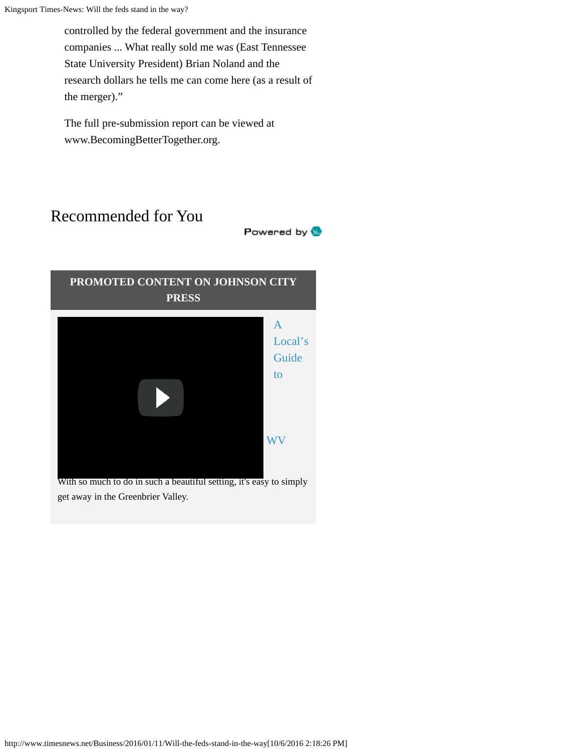Kingsport Times-News: Will the feds stand in the way?

controlled by the federal government and the insurance companies ... What really sold me was (East Tennessee State University President) Brian Noland and the research dollars he tells me can come here (as a result of the merger)."

The full pre-submission report can be viewed at www.BecomingBetterTogether.org.

# Recommended for You

**PROMOTED CONTENT ON JOHNSON CITY**

Powered by W



With so much to do in such a beautiful setting, it's easy to simply get away in the Greenbrier Valley.